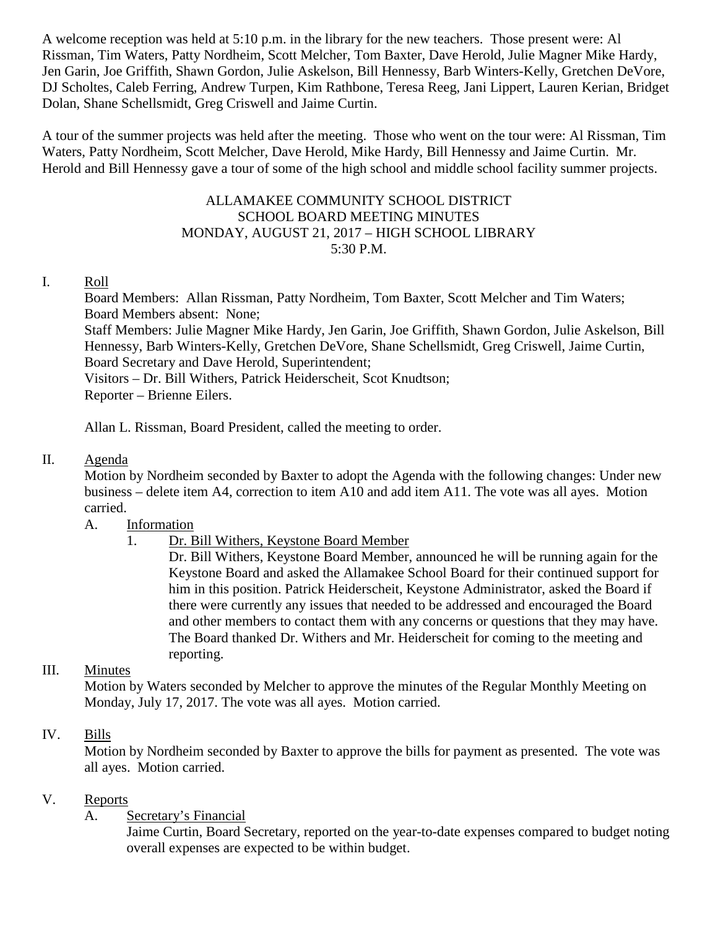A welcome reception was held at 5:10 p.m. in the library for the new teachers. Those present were: Al Rissman, Tim Waters, Patty Nordheim, Scott Melcher, Tom Baxter, Dave Herold, Julie Magner Mike Hardy, Jen Garin, Joe Griffith, Shawn Gordon, Julie Askelson, Bill Hennessy, Barb Winters-Kelly, Gretchen DeVore, DJ Scholtes, Caleb Ferring, Andrew Turpen, Kim Rathbone, Teresa Reeg, Jani Lippert, Lauren Kerian, Bridget Dolan, Shane Schellsmidt, Greg Criswell and Jaime Curtin.

A tour of the summer projects was held after the meeting. Those who went on the tour were: Al Rissman, Tim Waters, Patty Nordheim, Scott Melcher, Dave Herold, Mike Hardy, Bill Hennessy and Jaime Curtin. Mr. Herold and Bill Hennessy gave a tour of some of the high school and middle school facility summer projects.

#### ALLAMAKEE COMMUNITY SCHOOL DISTRICT SCHOOL BOARD MEETING MINUTES MONDAY, AUGUST 21, 2017 – HIGH SCHOOL LIBRARY 5:30 P.M.

#### I. Roll

Board Members: Allan Rissman, Patty Nordheim, Tom Baxter, Scott Melcher and Tim Waters; Board Members absent: None;

Staff Members: Julie Magner Mike Hardy, Jen Garin, Joe Griffith, Shawn Gordon, Julie Askelson, Bill Hennessy, Barb Winters-Kelly, Gretchen DeVore, Shane Schellsmidt, Greg Criswell, Jaime Curtin, Board Secretary and Dave Herold, Superintendent;

Visitors – Dr. Bill Withers, Patrick Heiderscheit, Scot Knudtson; Reporter – Brienne Eilers.

Allan L. Rissman, Board President, called the meeting to order.

#### II. Agenda

Motion by Nordheim seconded by Baxter to adopt the Agenda with the following changes: Under new business – delete item A4, correction to item A10 and add item A11. The vote was all ayes. Motion carried.

#### A. Information

1. Dr. Bill Withers, Keystone Board Member

Dr. Bill Withers, Keystone Board Member, announced he will be running again for the Keystone Board and asked the Allamakee School Board for their continued support for him in this position. Patrick Heiderscheit, Keystone Administrator, asked the Board if there were currently any issues that needed to be addressed and encouraged the Board and other members to contact them with any concerns or questions that they may have. The Board thanked Dr. Withers and Mr. Heiderscheit for coming to the meeting and reporting.

### III. Minutes

Motion by Waters seconded by Melcher to approve the minutes of the Regular Monthly Meeting on Monday, July 17, 2017. The vote was all ayes. Motion carried.

#### IV. Bills

Motion by Nordheim seconded by Baxter to approve the bills for payment as presented. The vote was all ayes. Motion carried.

#### V. Reports

### A. Secretary's Financial

Jaime Curtin, Board Secretary, reported on the year-to-date expenses compared to budget noting overall expenses are expected to be within budget.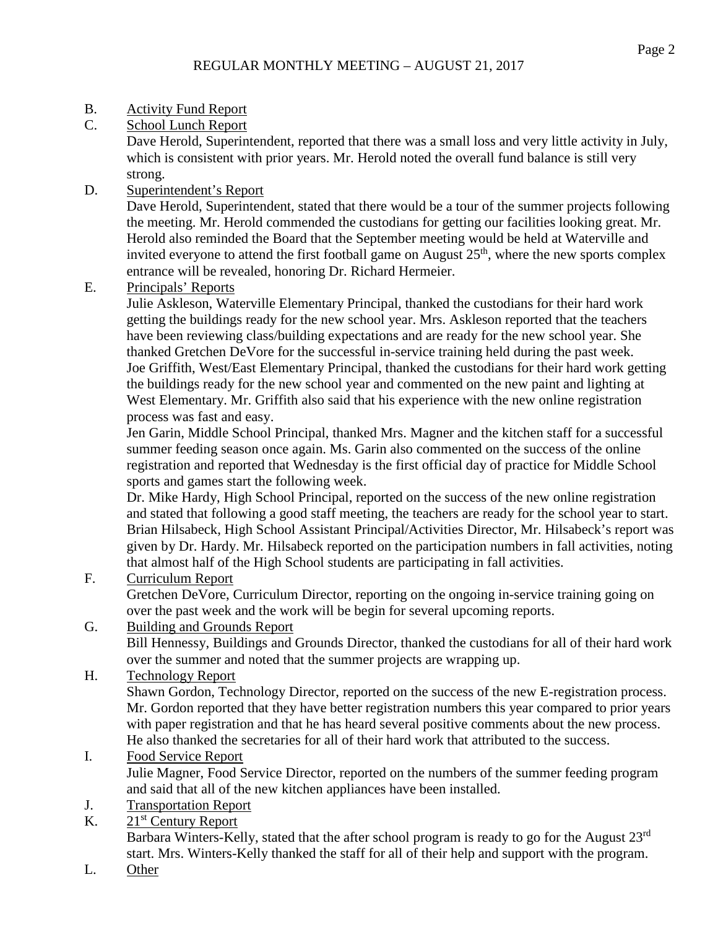- B. Activity Fund Report
- C. School Lunch Report

Dave Herold, Superintendent, reported that there was a small loss and very little activity in July, which is consistent with prior years. Mr. Herold noted the overall fund balance is still very strong.

D. Superintendent's Report

Dave Herold, Superintendent, stated that there would be a tour of the summer projects following the meeting. Mr. Herold commended the custodians for getting our facilities looking great. Mr. Herold also reminded the Board that the September meeting would be held at Waterville and invited everyone to attend the first football game on August  $25<sup>th</sup>$ , where the new sports complex entrance will be revealed, honoring Dr. Richard Hermeier.

E. Principals' Reports

Julie Askleson, Waterville Elementary Principal, thanked the custodians for their hard work getting the buildings ready for the new school year. Mrs. Askleson reported that the teachers have been reviewing class/building expectations and are ready for the new school year. She thanked Gretchen DeVore for the successful in-service training held during the past week. Joe Griffith, West/East Elementary Principal, thanked the custodians for their hard work getting the buildings ready for the new school year and commented on the new paint and lighting at West Elementary. Mr. Griffith also said that his experience with the new online registration process was fast and easy.

Jen Garin, Middle School Principal, thanked Mrs. Magner and the kitchen staff for a successful summer feeding season once again. Ms. Garin also commented on the success of the online registration and reported that Wednesday is the first official day of practice for Middle School sports and games start the following week.

Dr. Mike Hardy, High School Principal, reported on the success of the new online registration and stated that following a good staff meeting, the teachers are ready for the school year to start. Brian Hilsabeck, High School Assistant Principal/Activities Director, Mr. Hilsabeck's report was given by Dr. Hardy. Mr. Hilsabeck reported on the participation numbers in fall activities, noting that almost half of the High School students are participating in fall activities.

F. Curriculum Report

Gretchen DeVore, Curriculum Director, reporting on the ongoing in-service training going on over the past week and the work will be begin for several upcoming reports.

G. Building and Grounds Report

Bill Hennessy, Buildings and Grounds Director, thanked the custodians for all of their hard work over the summer and noted that the summer projects are wrapping up.

H. Technology Report

Shawn Gordon, Technology Director, reported on the success of the new E-registration process. Mr. Gordon reported that they have better registration numbers this year compared to prior years with paper registration and that he has heard several positive comments about the new process. He also thanked the secretaries for all of their hard work that attributed to the success.

- I. Food Service Report Julie Magner, Food Service Director, reported on the numbers of the summer feeding program and said that all of the new kitchen appliances have been installed.
- J. Transportation Report
- K.  $21<sup>st</sup>$  Century Report

Barbara Winters-Kelly, stated that the after school program is ready to go for the August 23<sup>rd</sup> start. Mrs. Winters-Kelly thanked the staff for all of their help and support with the program.

L. Other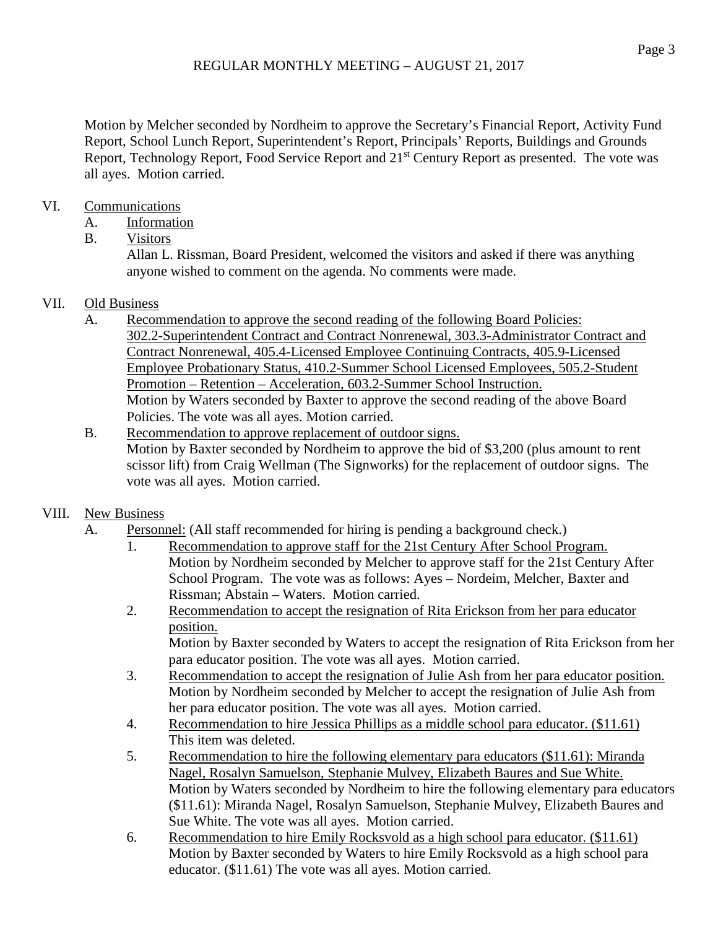Motion by Melcher seconded by Nordheim to approve the Secretary's Financial Report, Activity Fund Report, School Lunch Report, Superintendent's Report, Principals' Reports, Buildings and Grounds Report, Technology Report, Food Service Report and 21<sup>st</sup> Century Report as presented. The vote was all ayes. Motion carried.

## VI. Communications

- A. Information
- B. Visitors

Allan L. Rissman, Board President, welcomed the visitors and asked if there was anything anyone wished to comment on the agenda. No comments were made.

### VII. Old Business

- A. Recommendation to approve the second reading of the following Board Policies: 302.2-Superintendent Contract and Contract Nonrenewal, 303.3-Administrator Contract and Contract Nonrenewal, 405.4-Licensed Employee Continuing Contracts, 405.9-Licensed Employee Probationary Status, 410.2-Summer School Licensed Employees, 505.2-Student Promotion – Retention – Acceleration, 603.2-Summer School Instruction. Motion by Waters seconded by Baxter to approve the second reading of the above Board Policies. The vote was all ayes. Motion carried.
- B. Recommendation to approve replacement of outdoor signs. Motion by Baxter seconded by Nordheim to approve the bid of \$3,200 (plus amount to rent scissor lift) from Craig Wellman (The Signworks) for the replacement of outdoor signs. The vote was all ayes. Motion carried.

## VIII. New Business

- A. Personnel: (All staff recommended for hiring is pending a background check.)
	- 1. Recommendation to approve staff for the 21st Century After School Program. Motion by Nordheim seconded by Melcher to approve staff for the 21st Century After School Program. The vote was as follows: Ayes – Nordeim, Melcher, Baxter and Rissman; Abstain – Waters. Motion carried.
	- 2. Recommendation to accept the resignation of Rita Erickson from her para educator position. Motion by Baxter seconded by Waters to accept the resignation of Rita Erickson from her

para educator position. The vote was all ayes. Motion carried.

- 3. Recommendation to accept the resignation of Julie Ash from her para educator position. Motion by Nordheim seconded by Melcher to accept the resignation of Julie Ash from her para educator position. The vote was all ayes. Motion carried.
- 4. Recommendation to hire Jessica Phillips as a middle school para educator. (\$11.61) This item was deleted.
- 5. Recommendation to hire the following elementary para educators (\$11.61): Miranda Nagel, Rosalyn Samuelson, Stephanie Mulvey, Elizabeth Baures and Sue White. Motion by Waters seconded by Nordheim to hire the following elementary para educators (\$11.61): Miranda Nagel, Rosalyn Samuelson, Stephanie Mulvey, Elizabeth Baures and Sue White. The vote was all ayes. Motion carried.
- 6. Recommendation to hire Emily Rocksvold as a high school para educator. (\$11.61) Motion by Baxter seconded by Waters to hire Emily Rocksvold as a high school para educator. (\$11.61) The vote was all ayes. Motion carried.